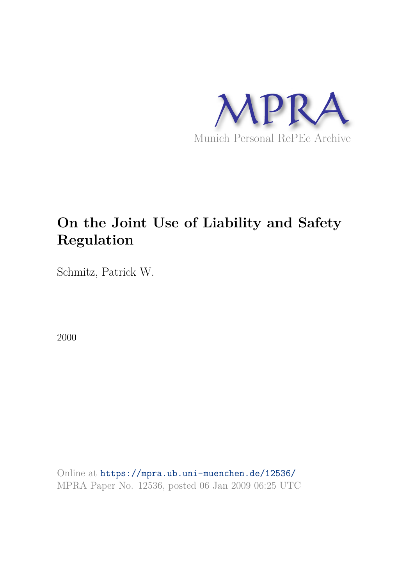

# **On the Joint Use of Liability and Safety Regulation**

Schmitz, Patrick W.

2000

Online at https://mpra.ub.uni-muenchen.de/12536/ MPRA Paper No. 12536, posted 06 Jan 2009 06:25 UTC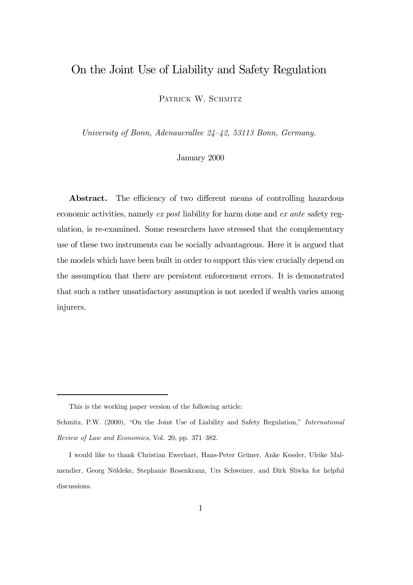### On the Joint Use of Liability and Safety Regulation

PATRICK W. SCHMITZ

University of Bonn, Adenauerallee 24—42, 53113 Bonn, Germany.

January 2000

Abstract. The efficiency of two different means of controlling hazardous economic activities, namely ex post liability for harm done and ex ante safety regulation, is re-examined. Some researchers have stressed that the complementary use of these two instruments can be socially advantageous. Here it is argued that the models which have been built in order to support this view crucially depend on the assumption that there are persistent enforcement errors. It is demonstrated that such a rather unsatisfactory assumption is not needed if wealth varies among injurers.

This is the working paper version of the following article:

Schmitz, P.W. (2000), "On the Joint Use of Liability and Safety Regulation," International Review of Law and Economics, Vol. 20, pp. 371—382.

I would like to thank Christian Ewerhart, Hans-Peter Grüner, Anke Kessler, Ulrike Malmendier, Georg Nöldeke, Stephanie Rosenkranz, Urs Schweizer, and Dirk Sliwka for helpful discussions.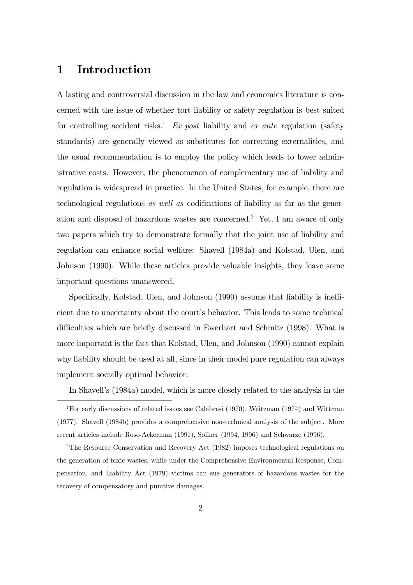### 1 Introduction

A lasting and controversial discussion in the law and economics literature is concerned with the issue of whether tort liability or safety regulation is best suited for controlling accident risks.<sup>1</sup> Ex post liability and ex ante regulation (safety standards) are generally viewed as substitutes for correcting externalities, and the usual recommendation is to employ the policy which leads to lower administrative costs. However, the phenomenon of complementary use of liability and regulation is widespread in practice. In the United States, for example, there are technological regulations as well as codifications of liability as far as the generation and disposal of hazardous wastes are concerned.<sup>2</sup> Yet, I am aware of only two papers which try to demonstrate formally that the joint use of liability and regulation can enhance social welfare: Shavell (1984a) and Kolstad, Ulen, and Johnson (1990). While these articles provide valuable insights, they leave some important questions unanswered.

Specifically, Kolstad, Ulen, and Johnson (1990) assume that liability is inefficient due to uncertainty about the court's behavior. This leads to some technical difficulties which are briefly discussed in Ewerhart and Schmitz (1998). What is more important is the fact that Kolstad, Ulen, and Johnson (1990) cannot explain why liability should be used at all, since in their model pure regulation can always implement socially optimal behavior.

In Shavell's (1984a) model, which is more closely related to the analysis in the

<sup>1</sup>For early discussions of related issues see Calabresi (1970), Weitzman (1974) and Wittman (1977). Shavell (1984b) provides a comprehensive non-technical analysis of the subject. More recent articles include Rose-Ackerman (1991), Söllner (1994, 1996) and Schwarze (1996).

<sup>2</sup>The Resource Conservation and Recovery Act (1982) imposes technological regulations on the generation of toxic wastes, while under the Comprehensive Environmental Response, Compensation, and Liability Act (1979) victims can sue generators of hazardous wastes for the recovery of compensatory and punitive damages.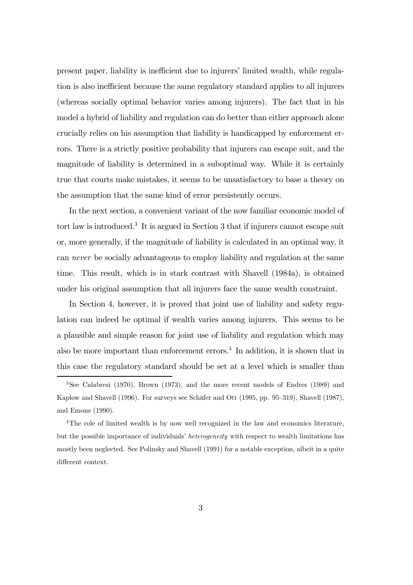present paper, liability is inefficient due to injurers' limited wealth, while regulation is also inefficient because the same regulatory standard applies to all injurers (whereas socially optimal behavior varies among injurers). The fact that in his model a hybrid of liability and regulation can do better than either approach alone crucially relies on his assumption that liability is handicapped by enforcement errors. There is a strictly positive probability that injurers can escape suit, and the magnitude of liability is determined in a suboptimal way. While it is certainly true that courts make mistakes, it seems to be unsatisfactory to base a theory on the assumption that the same kind of error persistently occurs.

In the next section, a convenient variant of the now familiar economic model of tort law is introduced.<sup>3</sup> It is argued in Section 3 that if injurers cannot escape suit or, more generally, if the magnitude of liability is calculated in an optimal way, it can never be socially advantageous to employ liability and regulation at the same time. This result, which is in stark contrast with Shavell (1984a), is obtained under his original assumption that all injurers face the same wealth constraint.

In Section 4, however, it is proved that joint use of liability and safety regulation can indeed be optimal if wealth varies among injurers. This seems to be a plausible and simple reason for joint use of liability and regulation which may also be more important than enforcement errors.<sup>4</sup> In addition, it is shown that in this case the regulatory standard should be set at a level which is smaller than

<sup>4</sup>The role of limited wealth is by now well recognized in the law and economics literature, but the possible importance of individuals' heterogeneity with respect to wealth limitations has mostly been neglected. See Polinsky and Shavell (1991) for a notable exception, albeit in a quite different context.

<sup>3</sup>See Calabresi (1970), Brown (1973), and the more recent models of Endres (1989) and Kaplow and Shavell (1996). For surveys see Schäfer and Ott (1995, pp. 95—319), Shavell (1987), and Emons (1990).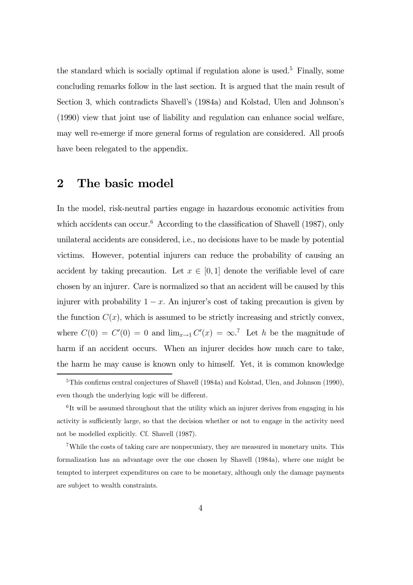the standard which is socially optimal if regulation alone is used.<sup>5</sup> Finally, some concluding remarks follow in the last section. It is argued that the main result of Section 3, which contradicts Shavell's (1984a) and Kolstad, Ulen and Johnson's (1990) view that joint use of liability and regulation can enhance social welfare, may well re-emerge if more general forms of regulation are considered. All proofs have been relegated to the appendix.

#### 2 The basic model

In the model, risk-neutral parties engage in hazardous economic activities from which accidents can occur.<sup>6</sup> According to the classification of Shavell (1987), only unilateral accidents are considered, i.e., no decisions have to be made by potential victims. However, potential injurers can reduce the probability of causing an accident by taking precaution. Let  $x \in [0,1]$  denote the verifiable level of care chosen by an injurer. Care is normalized so that an accident will be caused by this injurer with probability  $1 - x$ . An injurer's cost of taking precaution is given by the function  $C(x)$ , which is assumed to be strictly increasing and strictly convex, where  $C(0) = C'(0) = 0$  and  $\lim_{x\to 1} C'(x) = \infty$ .<sup>7</sup> Let h be the magnitude of harm if an accident occurs. When an injurer decides how much care to take, the harm he may cause is known only to himself. Yet, it is common knowledge

<sup>&</sup>lt;sup>5</sup>This confirms central conjectures of Shavell (1984a) and Kolstad, Ulen, and Johnson (1990), even though the underlying logic will be different.

<sup>&</sup>lt;sup>6</sup>It will be assumed throughout that the utility which an injurer derives from engaging in his activity is sufficiently large, so that the decision whether or not to engage in the activity need not be modelled explicitly. Cf. Shavell (1987).

<sup>7</sup>While the costs of taking care are nonpecuniary, they are measured in monetary units. This formalization has an advantage over the one chosen by Shavell (1984a), where one might be tempted to interpret expenditures on care to be monetary, although only the damage payments are subject to wealth constraints.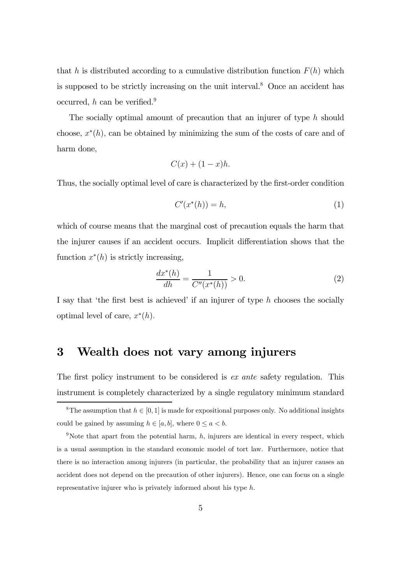that h is distributed according to a cumulative distribution function  $F(h)$  which is supposed to be strictly increasing on the unit interval.<sup>8</sup> Once an accident has occurred,  $h$  can be verified.<sup>9</sup>

The socially optimal amount of precaution that an injurer of type h should choose,  $x^*(h)$ , can be obtained by minimizing the sum of the costs of care and of harm done,

$$
C(x) + (1 - x)h.
$$

Thus, the socially optimal level of care is characterized by the first-order condition

$$
C'(x^*(h)) = h,\t\t(1)
$$

which of course means that the marginal cost of precaution equals the harm that the injurer causes if an accident occurs. Implicit differentiation shows that the function  $x^*(h)$  is strictly increasing,

$$
\frac{dx^*(h)}{dh} = \frac{1}{C''(x^*(h))} > 0.
$$
\n(2)

I say that 'the first best is achieved' if an injurer of type  $h$  chooses the socially optimal level of care,  $x^*(h)$ .

# 3 Wealth does not vary among injurers

The first policy instrument to be considered is ex ante safety regulation. This instrument is completely characterized by a single regulatory minimum standard

<sup>&</sup>lt;sup>8</sup>The assumption that  $h \in [0, 1]$  is made for expositional purposes only. No additional insights could be gained by assuming  $h \in [a, b]$ , where  $0 \le a < b$ .

<sup>&</sup>lt;sup>9</sup>Note that apart from the potential harm,  $h$ , injurers are identical in every respect, which is a usual assumption in the standard economic model of tort law. Furthermore, notice that there is no interaction among injurers (in particular, the probability that an injurer causes an accident does not depend on the precaution of other injurers). Hence, one can focus on a single representative injurer who is privately informed about his type h.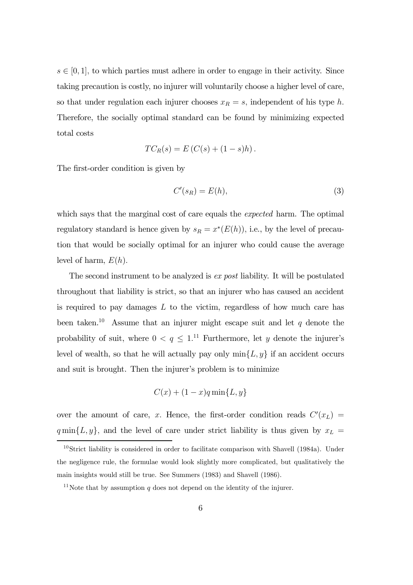$s \in [0, 1]$ , to which parties must adhere in order to engage in their activity. Since taking precaution is costly, no injurer will voluntarily choose a higher level of care, so that under regulation each injurer chooses  $x_R = s$ , independent of his type h. Therefore, the socially optimal standard can be found by minimizing expected total costs

$$
TC_R(s) = E(C(s) + (1 - s)h).
$$

The first-order condition is given by

$$
C'(s_R) = E(h),\tag{3}
$$

which says that the marginal cost of care equals the *expected* harm. The optimal regulatory standard is hence given by  $s_R = x^*(E(h))$ , i.e., by the level of precaution that would be socially optimal for an injurer who could cause the average level of harm,  $E(h)$ .

The second instrument to be analyzed is *ex post* liability. It will be postulated throughout that liability is strict, so that an injurer who has caused an accident is required to pay damages  $L$  to the victim, regardless of how much care has been taken.<sup>10</sup> Assume that an injurer might escape suit and let  $q$  denote the probability of suit, where  $0 < q \leq 1$ .<sup>11</sup> Furthermore, let y denote the injurer's level of wealth, so that he will actually pay only  $\min\{L, y\}$  if an accident occurs and suit is brought. Then the injurer's problem is to minimize

$$
C(x) + (1 - x)q \min\{L, y\}
$$

over the amount of care, x. Hence, the first-order condition reads  $C'(x_L)$  =  $q \min\{L, y\}$ , and the level of care under strict liability is thus given by  $x_L =$ 

 $10\,\text{Strict}$  liability is considered in order to facilitate comparison with Shavell (1984a). Under the negligence rule, the formulae would look slightly more complicated, but qualitatively the main insights would still be true. See Summers (1983) and Shavell (1986).

<sup>&</sup>lt;sup>11</sup>Note that by assumption q does not depend on the identity of the injurer.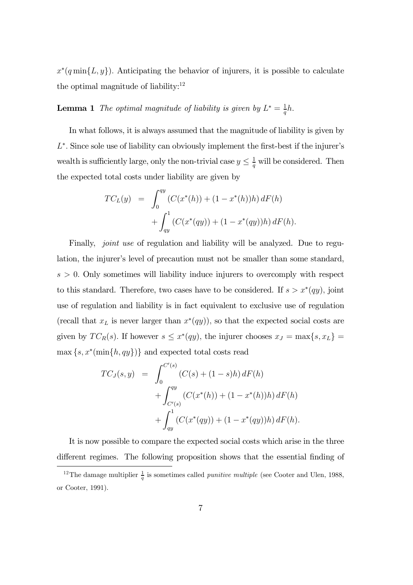$x^*(q \min\{L, y\})$ . Anticipating the behavior of injurers, it is possible to calculate the optimal magnitude of liability: $12$ 

**Lemma 1** The optimal magnitude of liability is given by  $L^* = \frac{1}{a}$  $\frac{1}{q}h$ .

In what follows, it is always assumed that the magnitude of liability is given by L<sup>\*</sup>. Since sole use of liability can obviously implement the first-best if the injurer's wealth is sufficiently large, only the non-trivial case  $y \leq \frac{1}{q}$  will be considered. Then the expected total costs under liability are given by

$$
TC_L(y) = \int_0^{qy} (C(x^*(h)) + (1 - x^*(h))h) dF(h)
$$
  
+ 
$$
\int_{qy}^1 (C(x^*(qy)) + (1 - x^*(qy))h) dF(h).
$$

Finally, *joint use* of regulation and liability will be analyzed. Due to regulation, the injurer's level of precaution must not be smaller than some standard,  $s > 0$ . Only sometimes will liability induce injurers to overcomply with respect to this standard. Therefore, two cases have to be considered. If  $s > x^*(qy)$ , joint use of regulation and liability is in fact equivalent to exclusive use of regulation (recall that  $x_L$  is never larger than  $x^*(qy)$ ), so that the expected social costs are given by  $TC_R(s)$ . If however  $s \leq x^*(qy)$ , the injurer chooses  $x_J = \max\{s, x_L\}$  $\max\{s, x^*(\min\{h, qy\})\}$  and expected total costs read

$$
TC_J(s,y) = \int_0^{C'(s)} (C(s) + (1-s)h) dF(h)
$$
  
+ 
$$
\int_{C'(s)}^{qy} (C(x^*(h)) + (1-x^*(h))h) dF(h)
$$
  
+ 
$$
\int_{qy}^1 (C(x^*(qy)) + (1-x^*(qy))h) dF(h).
$$

It is now possible to compare the expected social costs which arise in the three different regimes. The following proposition shows that the essential finding of

<sup>&</sup>lt;sup>12</sup>The damage multiplier  $\frac{1}{q}$  is sometimes called *punitive multiple* (see Cooter and Ulen, 1988, or Cooter, 1991).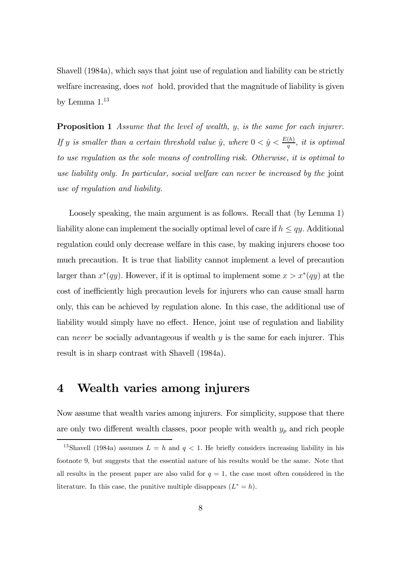Shavell (1984a), which says that joint use of regulation and liability can be strictly welfare increasing, does not hold, provided that the magnitude of liability is given by Lemma  $1.^{13}$ 

**Proposition 1** Assume that the level of wealth, y, is the same for each injurer. If y is smaller than a certain threshold value  $\hat{y}$ , where  $0 < \hat{y} < \frac{E(h)}{q}$  $\frac{(h)}{q}$ , it is optimal to use regulation as the sole means of controlling risk. Otherwise, it is optimal to use liability only. In particular, social welfare can never be increased by the joint use of regulation and liability.

Loosely speaking, the main argument is as follows. Recall that (by Lemma 1) liability alone can implement the socially optimal level of care if  $h \leq qy$ . Additional regulation could only decrease welfare in this case, by making injurers choose too much precaution. It is true that liability cannot implement a level of precaution larger than  $x^*(qy)$ . However, if it is optimal to implement some  $x > x^*(qy)$  at the cost of inefficiently high precaution levels for injurers who can cause small harm only, this can be achieved by regulation alone. In this case, the additional use of liability would simply have no effect. Hence, joint use of regulation and liability can *never* be socially advantageous if wealth  $y$  is the same for each injurer. This result is in sharp contrast with Shavell (1984a).

# 4 Wealth varies among injurers

Now assume that wealth varies among injurers. For simplicity, suppose that there are only two different wealth classes, poor people with wealth  $y_p$  and rich people

<sup>&</sup>lt;sup>13</sup>Shavell (1984a) assumes  $L = h$  and  $q < 1$ . He briefly considers increasing liability in his footnote 9, but suggests that the essential nature of his results would be the same. Note that all results in the present paper are also valid for  $q = 1$ , the case most often considered in the literature. In this case, the punitive multiple disappears  $(L^* = h)$ .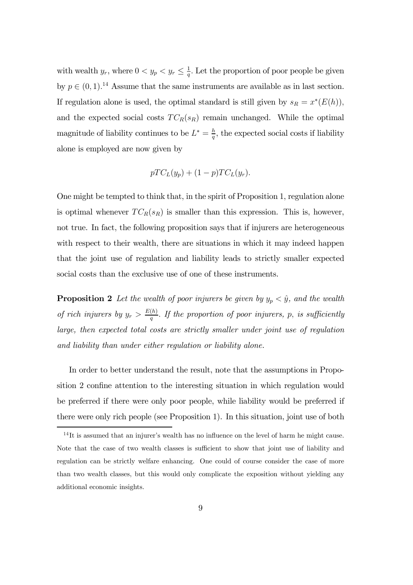with wealth  $y_r$ , where  $0 < y_p < y_r \leq \frac{1}{q}$  $\frac{1}{q}$ . Let the proportion of poor people be given by  $p \in (0, 1)$ .<sup>14</sup> Assume that the same instruments are available as in last section. If regulation alone is used, the optimal standard is still given by  $s_R = x^*(E(h))$ , and the expected social costs  $TC_R(s_R)$  remain unchanged. While the optimal magnitude of liability continues to be  $L^* = \frac{h}{a}$  $\frac{h}{q}$ , the expected social costs if liability alone is employed are now given by

$$
pTC_L(y_p) + (1-p)TC_L(y_r).
$$

One might be tempted to think that, in the spirit of Proposition 1, regulation alone is optimal whenever  $TC_R(s_R)$  is smaller than this expression. This is, however, not true. In fact, the following proposition says that if injurers are heterogeneous with respect to their wealth, there are situations in which it may indeed happen that the joint use of regulation and liability leads to strictly smaller expected social costs than the exclusive use of one of these instruments.

**Proposition 2** Let the wealth of poor injurers be given by  $y_p < \hat{y}$ , and the wealth of rich injurers by  $y_r > \frac{E(h)}{q}$  $\frac{(h)}{q}$ . If the proportion of poor injurers, p, is sufficiently large, then expected total costs are strictly smaller under joint use of regulation and liability than under either regulation or liability alone.

In order to better understand the result, note that the assumptions in Proposition 2 confine attention to the interesting situation in which regulation would be preferred if there were only poor people, while liability would be preferred if there were only rich people (see Proposition 1). In this situation, joint use of both

 $14$ It is assumed that an injurer's wealth has no influence on the level of harm he might cause. Note that the case of two wealth classes is sufficient to show that joint use of liability and regulation can be strictly welfare enhancing. One could of course consider the case of more than two wealth classes, but this would only complicate the exposition without yielding any additional economic insights.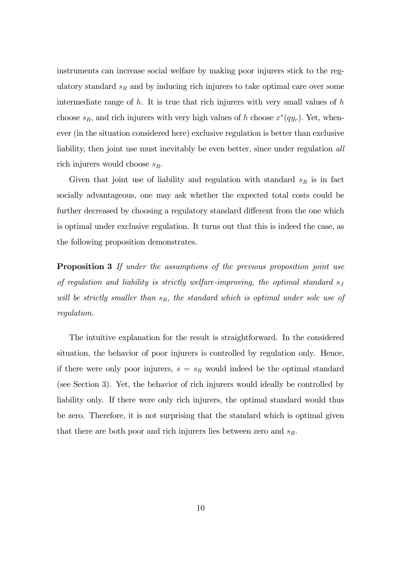instruments can increase social welfare by making poor injurers stick to the regulatory standard  $s_R$  and by inducing rich injurers to take optimal care over some intermediate range of  $h$ . It is true that rich injurers with very small values of  $h$ choose  $s_R$ , and rich injurers with very high values of h choose  $x^*(qy_r)$ . Yet, whenever (in the situation considered here) exclusive regulation is better than exclusive liability, then joint use must inevitably be even better, since under regulation *all* rich injurers would choose  $s_R$ .

Given that joint use of liability and regulation with standard  $s_R$  is in fact socially advantageous, one may ask whether the expected total costs could be further decreased by choosing a regulatory standard different from the one which is optimal under exclusive regulation. It turns out that this is indeed the case, as the following proposition demonstrates.

Proposition 3 If under the assumptions of the previous proposition joint use of regulation and liability is strictly welfare-improving, the optimal standard  $s_J$ will be strictly smaller than  $s_R$ , the standard which is optimal under sole use of regulation.

The intuitive explanation for the result is straightforward. In the considered situation, the behavior of poor injurers is controlled by regulation only. Hence, if there were only poor injurers,  $s = s_R$  would indeed be the optimal standard (see Section 3). Yet, the behavior of rich injurers would ideally be controlled by liability only. If there were only rich injurers, the optimal standard would thus be zero. Therefore, it is not surprising that the standard which is optimal given that there are both poor and rich injurers lies between zero and  $s_R$ .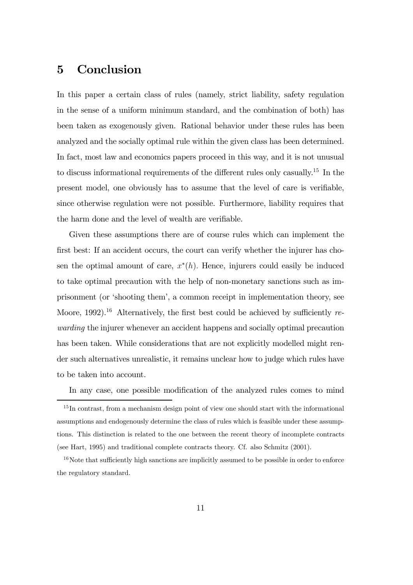### 5 Conclusion

In this paper a certain class of rules (namely, strict liability, safety regulation in the sense of a uniform minimum standard, and the combination of both) has been taken as exogenously given. Rational behavior under these rules has been analyzed and the socially optimal rule within the given class has been determined. In fact, most law and economics papers proceed in this way, and it is not unusual to discuss informational requirements of the different rules only casually.<sup>15</sup> In the present model, one obviously has to assume that the level of care is verifiable, since otherwise regulation were not possible. Furthermore, liability requires that the harm done and the level of wealth are verifiable.

Given these assumptions there are of course rules which can implement the first best: If an accident occurs, the court can verify whether the injurer has chosen the optimal amount of care,  $x^*(h)$ . Hence, injurers could easily be induced to take optimal precaution with the help of non-monetary sanctions such as imprisonment (or 'shooting them', a common receipt in implementation theory, see Moore, 1992).<sup>16</sup> Alternatively, the first best could be achieved by sufficiently rewarding the injurer whenever an accident happens and socially optimal precaution has been taken. While considerations that are not explicitly modelled might render such alternatives unrealistic, it remains unclear how to judge which rules have to be taken into account.

In any case, one possible modification of the analyzed rules comes to mind

 $15$  In contrast, from a mechanism design point of view one should start with the informational assumptions and endogenously determine the class of rules which is feasible under these assumptions. This distinction is related to the one between the recent theory of incomplete contracts (see Hart, 1995) and traditional complete contracts theory. Cf. also Schmitz (2001).

 $16$ Note that sufficiently high sanctions are implicitly assumed to be possible in order to enforce the regulatory standard.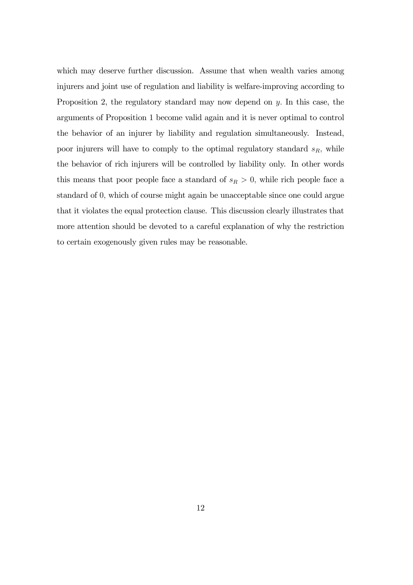which may deserve further discussion. Assume that when wealth varies among injurers and joint use of regulation and liability is welfare-improving according to Proposition 2, the regulatory standard may now depend on y. In this case, the arguments of Proposition 1 become valid again and it is never optimal to control the behavior of an injurer by liability and regulation simultaneously. Instead, poor injurers will have to comply to the optimal regulatory standard  $s_R$ , while the behavior of rich injurers will be controlled by liability only. In other words this means that poor people face a standard of  $s_R > 0$ , while rich people face a standard of 0, which of course might again be unacceptable since one could argue that it violates the equal protection clause. This discussion clearly illustrates that more attention should be devoted to a careful explanation of why the restriction to certain exogenously given rules may be reasonable.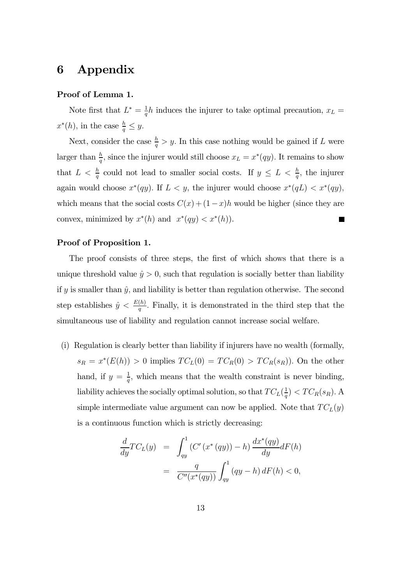### 6 Appendix

#### Proof of Lemma 1.

Note first that  $L^* = \frac{1}{a}$  $\frac{1}{q}h$  induces the injurer to take optimal precaution,  $x_L =$  $x^*(h)$ , in the case  $\frac{h}{q} \leq y$ .

Next, consider the case  $\frac{h}{q} > y$ . In this case nothing would be gained if L were larger than  $\frac{h}{q}$ , since the injurer would still choose  $x_L = x^*(qy)$ . It remains to show that  $L < \frac{h}{q}$  could not lead to smaller social costs. If  $y \leq L < \frac{h}{q}$ , the injurer again would choose  $x^*(qy)$ . If  $L < y$ , the injurer would choose  $x^*(qL) < x^*(qy)$ , which means that the social costs  $C(x) + (1-x)h$  would be higher (since they are convex, minimized by  $x^*(h)$  and  $x^*(qy) < x^*(h)$ .

#### Proof of Proposition 1.

The proof consists of three steps, the first of which shows that there is a unique threshold value  $\hat{y} > 0$ , such that regulation is socially better than liability if y is smaller than  $\hat{y}$ , and liability is better than regulation otherwise. The second step establishes  $\hat{y} < \frac{E(h)}{q}$  $\frac{(h)}{q}$ . Finally, it is demonstrated in the third step that the simultaneous use of liability and regulation cannot increase social welfare.

(i) Regulation is clearly better than liability if injurers have no wealth (formally,  $s_R = x^*(E(h)) > 0$  implies  $TC_L(0) = TC_R(0) > TC_R(s_R)$ . On the other hand, if  $y = \frac{1}{a}$  $\frac{1}{q}$ , which means that the wealth constraint is never binding, liability achieves the socially optimal solution, so that  $TC_L(\frac{1}{q})$  $\frac{1}{q}) < TC_R(s_R)$ . A simple intermediate value argument can now be applied. Note that  $TC<sub>L</sub>(y)$ is a continuous function which is strictly decreasing:

$$
\frac{d}{dy}TC_L(y) = \int_{qy}^1 (C'(x^*(qy)) - h) \frac{dx^*(qy)}{dy} dF(h)
$$

$$
= \frac{q}{C''(x^*(qy))} \int_{qy}^1 (qy - h) dF(h) < 0,
$$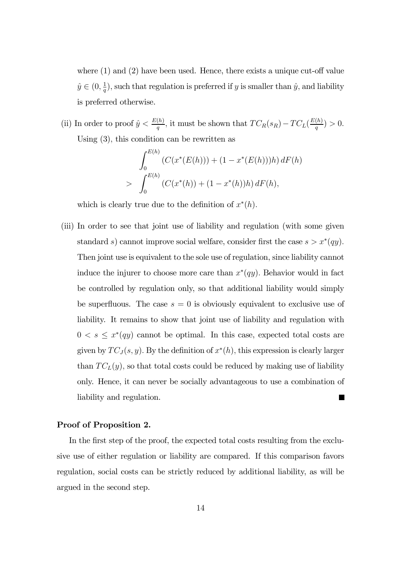where (1) and (2) have been used. Hence, there exists a unique cut-off value  $\hat{y} \in (0, \frac{1}{q})$  $\frac{1}{q}$ , such that regulation is preferred if y is smaller than  $\hat{y}$ , and liability is preferred otherwise.

(ii) In order to proof  $\hat{y} < \frac{E(h)}{q}$  $\frac{(h)}{q}$ , it must be shown that  $TC_R(s_R) - TC_L(\frac{E(h)}{q})$  $\frac{(n)}{q}$  > 0. Using (3), this condition can be rewritten as

$$
\int_0^{E(h)} \left( C(x^*(E(h))) + (1 - x^*(E(h)))h \right) dF(h)
$$
  
> 
$$
\int_0^{E(h)} \left( C(x^*(h)) + (1 - x^*(h))h \right) dF(h),
$$

which is clearly true due to the definition of  $x^*(h)$ .

(iii) In order to see that joint use of liability and regulation (with some given standard s) cannot improve social welfare, consider first the case  $s > x^*(qy)$ . Then joint use is equivalent to the sole use of regulation, since liability cannot induce the injurer to choose more care than  $x^*(qy)$ . Behavior would in fact be controlled by regulation only, so that additional liability would simply be superfluous. The case  $s = 0$  is obviously equivalent to exclusive use of liability. It remains to show that joint use of liability and regulation with  $0 < s \leq x^*(qy)$  cannot be optimal. In this case, expected total costs are given by  $TC_J(s, y)$ . By the definition of  $x^*(h)$ , this expression is clearly larger than  $TC<sub>L</sub>(y)$ , so that total costs could be reduced by making use of liability only. Hence, it can never be socially advantageous to use a combination of liability and regulation. Г

#### Proof of Proposition 2.

In the first step of the proof, the expected total costs resulting from the exclusive use of either regulation or liability are compared. If this comparison favors regulation, social costs can be strictly reduced by additional liability, as will be argued in the second step.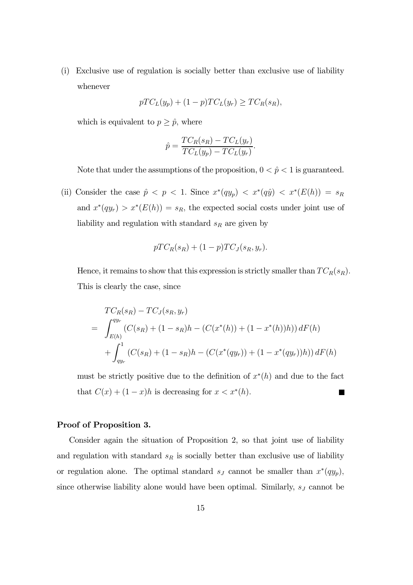(i) Exclusive use of regulation is socially better than exclusive use of liability whenever

$$
pTC_L(y_p) + (1-p)TC_L(y_r) \ge TC_R(s_R),
$$

which is equivalent to  $p \geq \hat{p}$ , where

$$
\hat{p} = \frac{TC_R(s_R) - TC_L(y_r)}{TC_L(y_p) - TC_L(y_r)}.
$$

Note that under the assumptions of the proposition,  $0 < \hat{p} < 1$  is guaranteed.

(ii) Consider the case  $\hat{p} < p < 1$ . Since  $x^*(qy_p) < x^*(q\hat{y}) < x^*(E(h)) = s_R$ and  $x^*(qy_r) > x^*(E(h)) = s_R$ , the expected social costs under joint use of liability and regulation with standard  $s_R$  are given by

$$
pTCR(sR) + (1-p)TCJ(sR, yr).
$$

Hence, it remains to show that this expression is strictly smaller than  $TC_R(s_R)$ . This is clearly the case, since

$$
TC_{R}(s_{R}) - TC_{J}(s_{R}, y_{r})
$$
  
= 
$$
\int_{E(h)}^{qy_{r}} (C(s_{R}) + (1 - s_{R})h - (C(x^{*}(h)) + (1 - x^{*}(h))h)) dF(h)
$$
  
+ 
$$
\int_{qy_{r}}^{1} (C(s_{R}) + (1 - s_{R})h - (C(x^{*}(qy_{r})) + (1 - x^{*}(qy_{r}))h)) dF(h)
$$

must be strictly positive due to the definition of  $x^*(h)$  and due to the fact that  $C(x) + (1-x)h$  is decreasing for  $x < x^*(h)$ . п

#### Proof of Proposition 3.

Consider again the situation of Proposition 2, so that joint use of liability and regulation with standard  $s_R$  is socially better than exclusive use of liability or regulation alone. The optimal standard  $s_J$  cannot be smaller than  $x^*(q y_p)$ , since otherwise liability alone would have been optimal. Similarly,  $s_j$  cannot be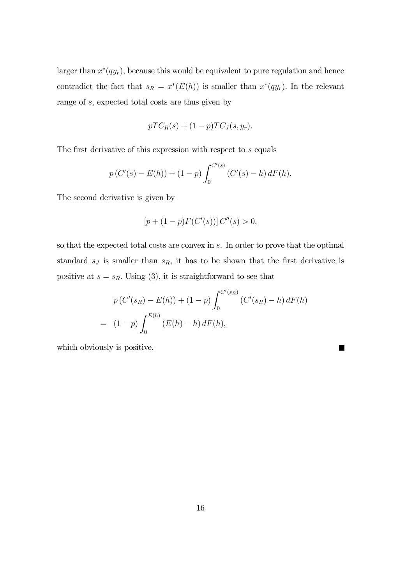larger than  $x^*(qy_r)$ , because this would be equivalent to pure regulation and hence contradict the fact that  $s_R = x^*(E(h))$  is smaller than  $x^*(qy_r)$ . In the relevant range of s, expected total costs are thus given by

$$
pTCR(s) + (1-p)TCJ(s, yr).
$$

The first derivative of this expression with respect to s equals

$$
p(C'(s) - E(h)) + (1 - p) \int_0^{C'(s)} (C'(s) - h) dF(h).
$$

The second derivative is given by

$$
[p + (1 - p)F(C'(s))] C''(s) > 0,
$$

so that the expected total costs are convex in s. In order to prove that the optimal standard  $s_j$  is smaller than  $s_R$ , it has to be shown that the first derivative is positive at  $s = s_R$ . Using (3), it is straightforward to see that

$$
p(C'(s_R) - E(h)) + (1 - p) \int_0^{C'(s_R)} (C'(s_R) - h) dF(h)
$$
  
=  $(1 - p) \int_0^{E(h)} (E(h) - h) dF(h),$ 

П

which obviously is positive.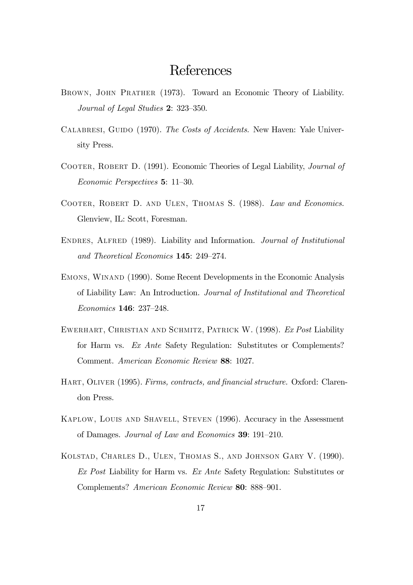# References

- Brown, John Prather (1973). Toward an Economic Theory of Liability. Journal of Legal Studies 2: 323—350.
- CALABRESI, GUIDO (1970). The Costs of Accidents. New Haven: Yale University Press.
- Cooter, Robert D. (1991). Economic Theories of Legal Liability, Journal of Economic Perspectives 5: 11—30.
- Cooter, Robert D. and Ulen, Thomas S. (1988). Law and Economics. Glenview, IL: Scott, Foresman.
- Endres, Alfred (1989). Liability and Information. Journal of Institutional and Theoretical Economics 145: 249—274.
- Emons, Winand (1990). Some Recent Developments in the Economic Analysis of Liability Law: An Introduction. Journal of Institutional and Theoretical Economics 146: 237—248.
- EWERHART, CHRISTIAN AND SCHMITZ, PATRICK W. (1998). Ex Post Liability for Harm vs. Ex Ante Safety Regulation: Substitutes or Complements? Comment. American Economic Review 88: 1027.
- HART, OLIVER (1995). Firms, contracts, and financial structure. Oxford: Clarendon Press.
- Kaplow, Louis and Shavell, Steven (1996). Accuracy in the Assessment of Damages. Journal of Law and Economics 39: 191—210.
- Kolstad, Charles D., Ulen, Thomas S., and Johnson Gary V. (1990). Ex Post Liability for Harm vs. Ex Ante Safety Regulation: Substitutes or Complements? American Economic Review 80: 888—901.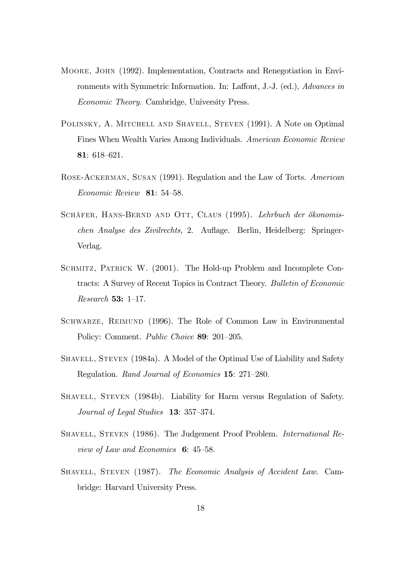- Moore, John (1992). Implementation, Contracts and Renegotiation in Environments with Symmetric Information. In: Laffont, J.-J. (ed.), Advances in Economic Theory. Cambridge, University Press.
- Polinsky, A. Mitchell and Shavell, Steven (1991). A Note on Optimal Fines When Wealth Varies Among Individuals. American Economic Review 81: 618—621.
- Rose-Ackerman, Susan (1991). Regulation and the Law of Torts. American Economic Review 81: 54—58.
- SCHÄFER, HANS-BERND AND OTT, CLAUS (1995). Lehrbuch der ökonomischen Analyse des Zivilrechts, 2. Auflage. Berlin, Heidelberg: Springer-Verlag.
- SCHMITZ, PATRICK W. (2001). The Hold-up Problem and Incomplete Contracts: A Survey of Recent Topics in Contract Theory. Bulletin of Economic Research 53: 1—17.
- Schwarze, Reimund (1996). The Role of Common Law in Environmental Policy: Comment. *Public Choice* **89**: 201–205.
- SHAVELL, STEVEN (1984a). A Model of the Optimal Use of Liability and Safety Regulation. Rand Journal of Economics 15: 271—280.
- Shavell, Steven (1984b). Liability for Harm versus Regulation of Safety. Journal of Legal Studies 13: 357—374.
- SHAVELL, STEVEN (1986). The Judgement Proof Problem. *International Re*view of Law and Economics 6: 45—58.
- SHAVELL, STEVEN (1987). The Economic Analysis of Accident Law. Cambridge: Harvard University Press.